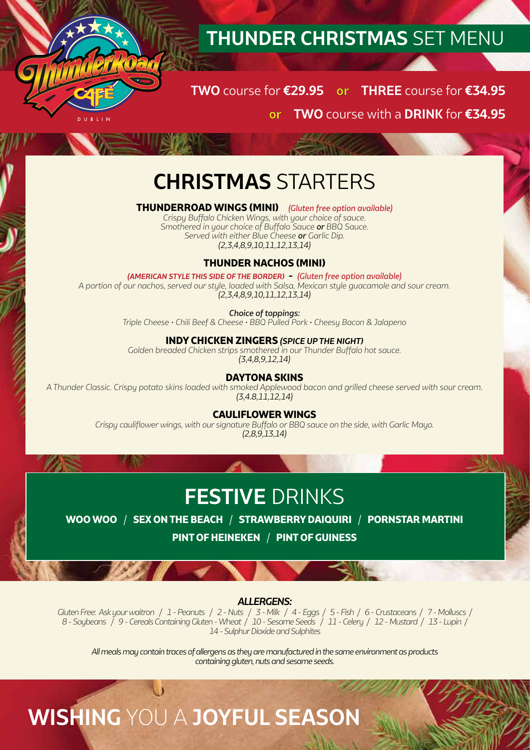

## **THUNDER CHRISTMAS** SET MENU

**TWO** course for **€29.95 or THREE** course for **€34.95 or TWO** course with a **DRINK** for **€34.95**

## **CHRISTMAS** STARTERS

#### **THUNDERROAD WINGS (MINI)** *(Gluten free option available)*

*Crispy Buffalo Chicken Wings, with your choice of sauce. Smothered in your choice of Buffalo Sauce or BBQ Sauce. Served with either Blue Cheese or Garlic Dip. (2,3,4,8,9,10,11,12,13,14)*

## **THUNDER NACHOS (MINI)**

*(AMERICAN STYLE THIS SIDE OF THE BORDER)* **-** *(Gluten free option available) A portion of our nachos, served our style, loaded with Salsa, Mexican style guacamole and sour cream. (2,3,4,8,9,10,11,12,13,14)*

*Choice of toppings:*

*Triple Cheese • Chili Beef & Cheese • BBQ Pulled Pork • Cheesy Bacon & Jalapeno*

#### **INDY CHICKEN ZINGERS** *(SPICE UP THE NIGHT)*

*Golden breaded Chicken strips smothered in our Thunder Buffalo hot sauce. (3,4,8,9,12,14)*

#### **DAYTONA SKINS**

*A Thunder Classic. Crispy potato skins loaded with smoked Applewood bacon and grilled cheese served with sour cream. (3,4.8,11,12,14)*

#### **CAULIFLOWER WINGS**

*Crispy cauliflower wings, with our signature Buffalo or BBQ sauce on the side, with Garlic Mayo. (2,8,9,13,14)*

## **FESTIVE** DRINKS

**WOO WOO** / **SEX ON THE BEACH** / **STRAWBERRY DAIQUIRI** / **PORNSTAR MARTINI PINT OF HEINEKEN** / **PINT OF GUINESS**

#### *ALLERGENS:*

*Gluten Free: Ask your waitron / 1 - Peanuts / 2 - Nuts / 3 - Milk / 4 - Eggs / 5 - Fish / 6 - Crustaceans / 7 - Molluscs / 8 - Soybeans / 9 - Cereals Containing Gluten - Wheat / 10 - Sesame Seeds / 11 - Celery / 12 - Mustard / 13 - Lupin / 14 - Sulphur Dioxide and Sulphites*

*All meals may contain traces of allergens as they are manufactured in the same environment as products containing gluten, nuts and sesame seeds.*

**WISHING** YOU A **JOYFUL SEASON**

**17 RG**